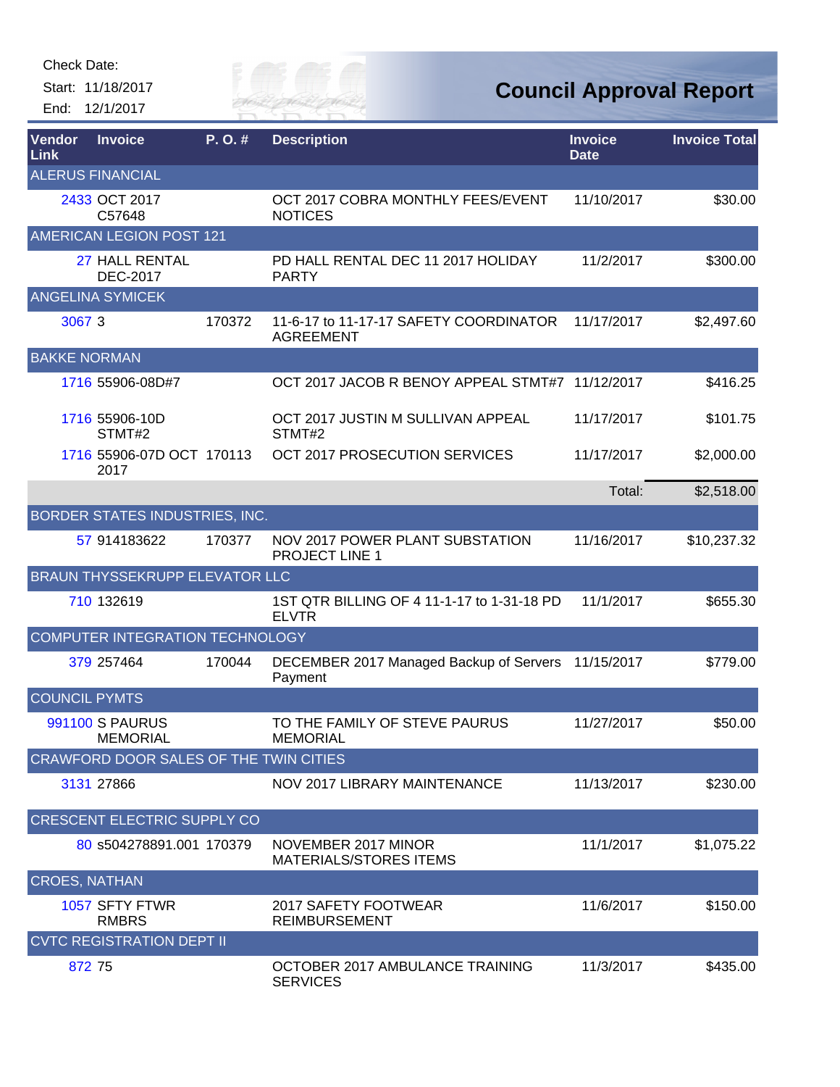Start: 11/18/2017 End: 12/1/2017



| Vendor<br>Link       | <b>Invoice</b>                            | $P. O.$ # | <b>Description</b>                                         | <b>Invoice</b><br><b>Date</b> | <b>Invoice Total</b> |
|----------------------|-------------------------------------------|-----------|------------------------------------------------------------|-------------------------------|----------------------|
|                      | <b>ALERUS FINANCIAL</b>                   |           |                                                            |                               |                      |
|                      | 2433 OCT 2017<br>C57648                   |           | OCT 2017 COBRA MONTHLY FEES/EVENT<br><b>NOTICES</b>        | 11/10/2017                    | \$30.00              |
|                      | AMERICAN LEGION POST 121                  |           |                                                            |                               |                      |
|                      | 27 HALL RENTAL<br><b>DEC-2017</b>         |           | PD HALL RENTAL DEC 11 2017 HOLIDAY<br><b>PARTY</b>         | 11/2/2017                     | \$300.00             |
|                      | <b>ANGELINA SYMICEK</b>                   |           |                                                            |                               |                      |
| 3067 3               |                                           | 170372    | 11-6-17 to 11-17-17 SAFETY COORDINATOR<br><b>AGREEMENT</b> | 11/17/2017                    | \$2,497.60           |
| <b>BAKKE NORMAN</b>  |                                           |           |                                                            |                               |                      |
|                      | 1716 55906-08D#7                          |           | OCT 2017 JACOB R BENOY APPEAL STMT#7                       | 11/12/2017                    | \$416.25             |
|                      | 1716 55906-10D<br>STMT#2                  |           | OCT 2017 JUSTIN M SULLIVAN APPEAL<br>STMT#2                | 11/17/2017                    | \$101.75             |
|                      | 1716 55906-07D OCT 170113<br>2017         |           | OCT 2017 PROSECUTION SERVICES                              | 11/17/2017                    | \$2,000.00           |
|                      |                                           |           |                                                            | Total:                        | \$2,518.00           |
|                      | BORDER STATES INDUSTRIES, INC.            |           |                                                            |                               |                      |
|                      | 57 914183622                              | 170377    | <b>NOV 2017 POWER PLANT SUBSTATION</b><br>PROJECT LINE 1   | 11/16/2017                    | \$10,237.32          |
|                      | <b>BRAUN THYSSEKRUPP ELEVATOR LLC</b>     |           |                                                            |                               |                      |
|                      | 710 132619                                |           | 1ST QTR BILLING OF 4 11-1-17 to 1-31-18 PD<br><b>ELVTR</b> | 11/1/2017                     | \$655.30             |
|                      | COMPUTER INTEGRATION TECHNOLOGY           |           |                                                            |                               |                      |
|                      | 379 257464                                | 170044    | DECEMBER 2017 Managed Backup of Servers<br>Payment         | 11/15/2017                    | \$779.00             |
| <b>COUNCIL PYMTS</b> |                                           |           |                                                            |                               |                      |
|                      | <b>991100 S PAURUS</b><br><b>MEMORIAL</b> |           | TO THE FAMILY OF STEVE PAURUS<br><b>MEMORIAL</b>           | 11/27/2017                    | \$50.00              |
|                      | CRAWFORD DOOR SALES OF THE TWIN CITIES    |           |                                                            |                               |                      |
|                      | 3131 27866                                |           | NOV 2017 LIBRARY MAINTENANCE                               | 11/13/2017                    | \$230.00             |
|                      | <b>CRESCENT ELECTRIC SUPPLY CO</b>        |           |                                                            |                               |                      |
|                      | 80 s504278891.001 170379                  |           | NOVEMBER 2017 MINOR<br><b>MATERIALS/STORES ITEMS</b>       | 11/1/2017                     | \$1,075.22           |
| <b>CROES, NATHAN</b> |                                           |           |                                                            |                               |                      |
|                      | 1057 SFTY FTWR<br><b>RMBRS</b>            |           | 2017 SAFETY FOOTWEAR<br><b>REIMBURSEMENT</b>               | 11/6/2017                     | \$150.00             |
|                      | <b>CVTC REGISTRATION DEPT II</b>          |           |                                                            |                               |                      |
| 872 75               |                                           |           | OCTOBER 2017 AMBULANCE TRAINING<br><b>SERVICES</b>         | 11/3/2017                     | \$435.00             |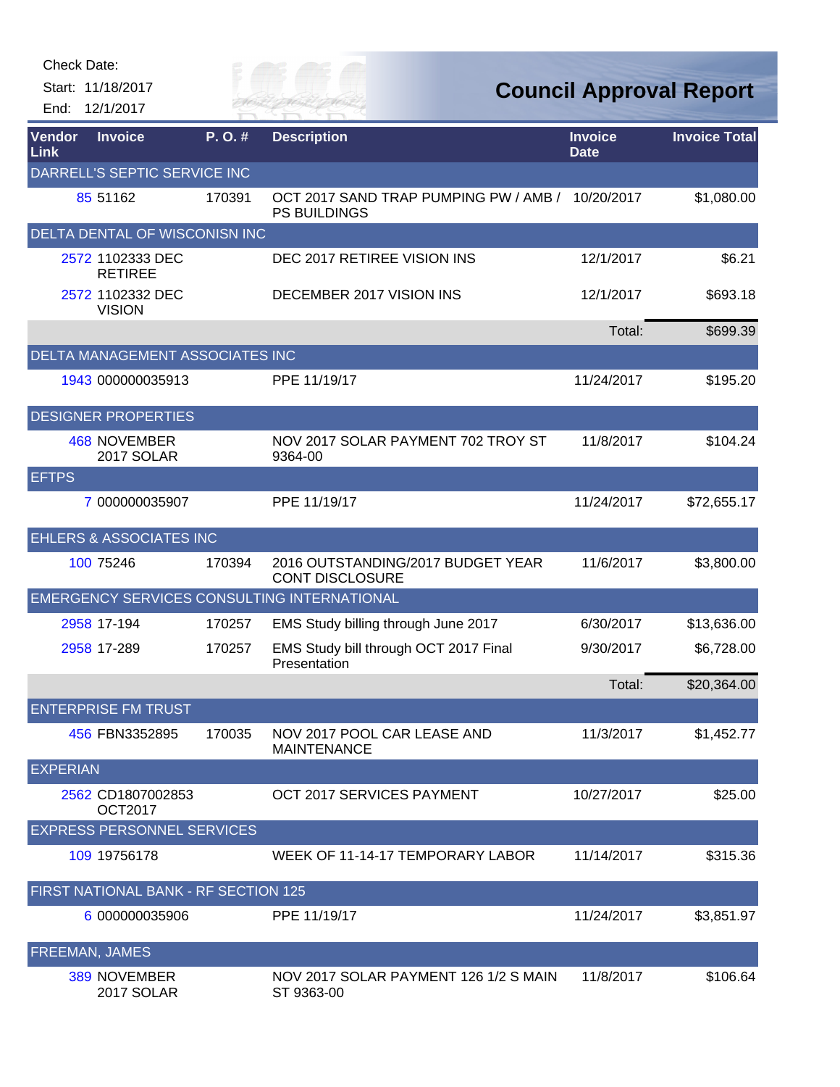| Check Date:           |                                      |        |                                                                         |                               |                                |
|-----------------------|--------------------------------------|--------|-------------------------------------------------------------------------|-------------------------------|--------------------------------|
|                       | Start: 11/18/2017                    |        | City of                                                                 |                               | <b>Council Approval Report</b> |
| End:                  | 12/1/2017                            |        | VER FAI                                                                 |                               |                                |
| Vendor<br><b>Link</b> | <b>Invoice</b>                       | P.O.#  | <b>Description</b>                                                      | <b>Invoice</b><br><b>Date</b> | <b>Invoice Total</b>           |
|                       | DARRELL'S SEPTIC SERVICE INC         |        |                                                                         |                               |                                |
|                       | 85 51162                             | 170391 | OCT 2017 SAND TRAP PUMPING PW / AMB / 10/20/2017<br><b>PS BUILDINGS</b> |                               | \$1,080.00                     |
|                       | DELTA DENTAL OF WISCONISN INC        |        |                                                                         |                               |                                |
|                       | 2572 1102333 DEC<br><b>RETIREE</b>   |        | DEC 2017 RETIREE VISION INS                                             | 12/1/2017                     | \$6.21                         |
|                       | 2572 1102332 DEC<br><b>VISION</b>    |        | DECEMBER 2017 VISION INS                                                | 12/1/2017                     | \$693.18                       |
|                       |                                      |        |                                                                         | Total:                        | \$699.39                       |
|                       | DELTA MANAGEMENT ASSOCIATES INC      |        |                                                                         |                               |                                |
|                       | 1943 000000035913                    |        | PPE 11/19/17                                                            | 11/24/2017                    | \$195.20                       |
|                       | <b>DESIGNER PROPERTIES</b>           |        |                                                                         |                               |                                |
|                       | 468 NOVEMBER<br>2017 SOLAR           |        | NOV 2017 SOLAR PAYMENT 702 TROY ST<br>9364-00                           | 11/8/2017                     | \$104.24                       |
| <b>EFTPS</b>          |                                      |        |                                                                         |                               |                                |
|                       | 7 000000035907                       |        | PPE 11/19/17                                                            | 11/24/2017                    | \$72,655.17                    |
|                       | <b>EHLERS &amp; ASSOCIATES INC</b>   |        |                                                                         |                               |                                |
|                       | 100 75246                            | 170394 | 2016 OUTSTANDING/2017 BUDGET YEAR<br><b>CONT DISCLOSURE</b>             | 11/6/2017                     | \$3,800.00                     |
|                       |                                      |        | EMERGENCY SERVICES CONSULTING INTERNATIONAL                             |                               |                                |
|                       | 2958 17-194                          | 170257 | EMS Study billing through June 2017                                     | 6/30/2017                     | \$13,636.00                    |
|                       | 2958 17-289                          | 170257 | EMS Study bill through OCT 2017 Final<br>Presentation                   | 9/30/2017                     | \$6,728.00                     |
|                       |                                      |        |                                                                         | Total:                        | \$20,364.00                    |
|                       | <b>ENTERPRISE FM TRUST</b>           |        |                                                                         |                               |                                |
|                       | 456 FBN3352895                       | 170035 | NOV 2017 POOL CAR LEASE AND<br><b>MAINTENANCE</b>                       | 11/3/2017                     | \$1,452.77                     |
| <b>EXPERIAN</b>       |                                      |        |                                                                         |                               |                                |
|                       | 2562 CD1807002853<br><b>OCT2017</b>  |        | OCT 2017 SERVICES PAYMENT                                               | 10/27/2017                    | \$25.00                        |
|                       | <b>EXPRESS PERSONNEL SERVICES</b>    |        |                                                                         |                               |                                |
|                       | 109 19756178                         |        | WEEK OF 11-14-17 TEMPORARY LABOR                                        | 11/14/2017                    | \$315.36                       |
|                       | FIRST NATIONAL BANK - RF SECTION 125 |        |                                                                         |                               |                                |
|                       | 6 000000035906                       |        | PPE 11/19/17                                                            | 11/24/2017                    | \$3,851.97                     |
|                       | <b>FREEMAN, JAMES</b>                |        |                                                                         |                               |                                |
|                       | 389 NOVEMBER<br>2017 SOLAR           |        | NOV 2017 SOLAR PAYMENT 126 1/2 S MAIN<br>ST 9363-00                     | 11/8/2017                     | \$106.64                       |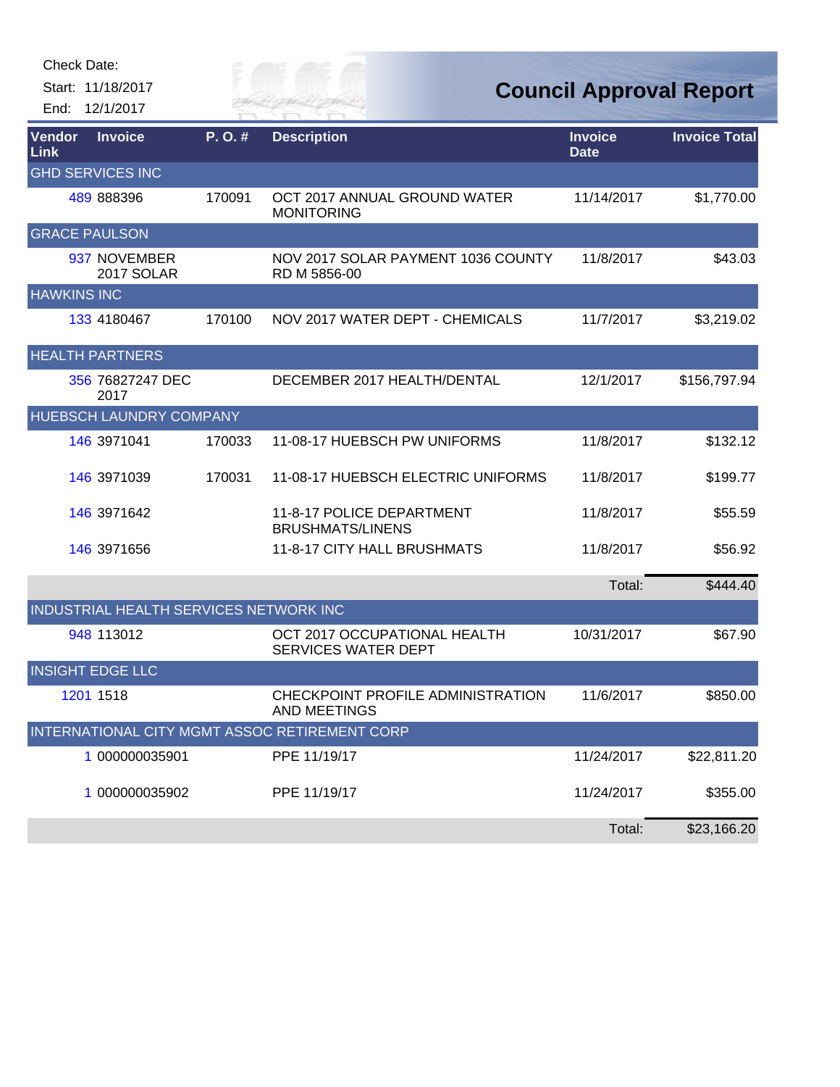Start: 11/18/2017 End: 12/1/2017

Eily of

**Council Approval Report**

| <b>Vendor</b><br>Link | <b>Invoice</b>                         | P.O.#  | <b>Description</b>                                         | <b>Invoice</b><br><b>Date</b> | <b>Invoice Total</b> |
|-----------------------|----------------------------------------|--------|------------------------------------------------------------|-------------------------------|----------------------|
|                       | <b>GHD SERVICES INC</b>                |        |                                                            |                               |                      |
|                       | 489 888396                             | 170091 | OCT 2017 ANNUAL GROUND WATER<br><b>MONITORING</b>          | 11/14/2017                    | \$1,770.00           |
| <b>GRACE PAULSON</b>  |                                        |        |                                                            |                               |                      |
|                       | 937 NOVEMBER<br>2017 SOLAR             |        | NOV 2017 SOLAR PAYMENT 1036 COUNTY<br>RD M 5856-00         | 11/8/2017                     | \$43.03              |
| <b>HAWKINS INC</b>    |                                        |        |                                                            |                               |                      |
|                       | 133 4180467                            | 170100 | NOV 2017 WATER DEPT - CHEMICALS                            | 11/7/2017                     | \$3,219.02           |
|                       | <b>HEALTH PARTNERS</b>                 |        |                                                            |                               |                      |
|                       | 356 76827247 DEC<br>2017               |        | DECEMBER 2017 HEALTH/DENTAL                                | 12/1/2017                     | \$156,797.94         |
|                       | HUEBSCH LAUNDRY COMPANY                |        |                                                            |                               |                      |
|                       | <b>146 3971041</b>                     | 170033 | 11-08-17 HUEBSCH PW UNIFORMS                               | 11/8/2017                     | \$132.12             |
|                       | 146 3971039                            | 170031 | 11-08-17 HUEBSCH ELECTRIC UNIFORMS                         | 11/8/2017                     | \$199.77             |
|                       | 146 3971642                            |        | 11-8-17 POLICE DEPARTMENT<br><b>BRUSHMATS/LINENS</b>       | 11/8/2017                     | \$55.59              |
|                       | 146 3971656                            |        | 11-8-17 CITY HALL BRUSHMATS                                | 11/8/2017                     | \$56.92              |
|                       |                                        |        |                                                            | Total:                        | \$444.40             |
|                       | INDUSTRIAL HEALTH SERVICES NETWORK INC |        |                                                            |                               |                      |
|                       | 948 113012                             |        | OCT 2017 OCCUPATIONAL HEALTH<br><b>SERVICES WATER DEPT</b> | 10/31/2017                    | \$67.90              |
|                       | <b>INSIGHT EDGE LLC</b>                |        |                                                            |                               |                      |
|                       | 1201 1518                              |        | CHECKPOINT PROFILE ADMINISTRATION<br><b>AND MEETINGS</b>   | 11/6/2017                     | \$850.00             |
|                       |                                        |        | INTERNATIONAL CITY MGMT ASSOC RETIREMENT CORP              |                               |                      |
|                       | 1 000000035901                         |        | PPE 11/19/17                                               | 11/24/2017                    | \$22,811.20          |
|                       | 1 000000035902                         |        | PPE 11/19/17                                               | 11/24/2017                    | \$355.00             |
|                       |                                        |        |                                                            | Total:                        | \$23,166.20          |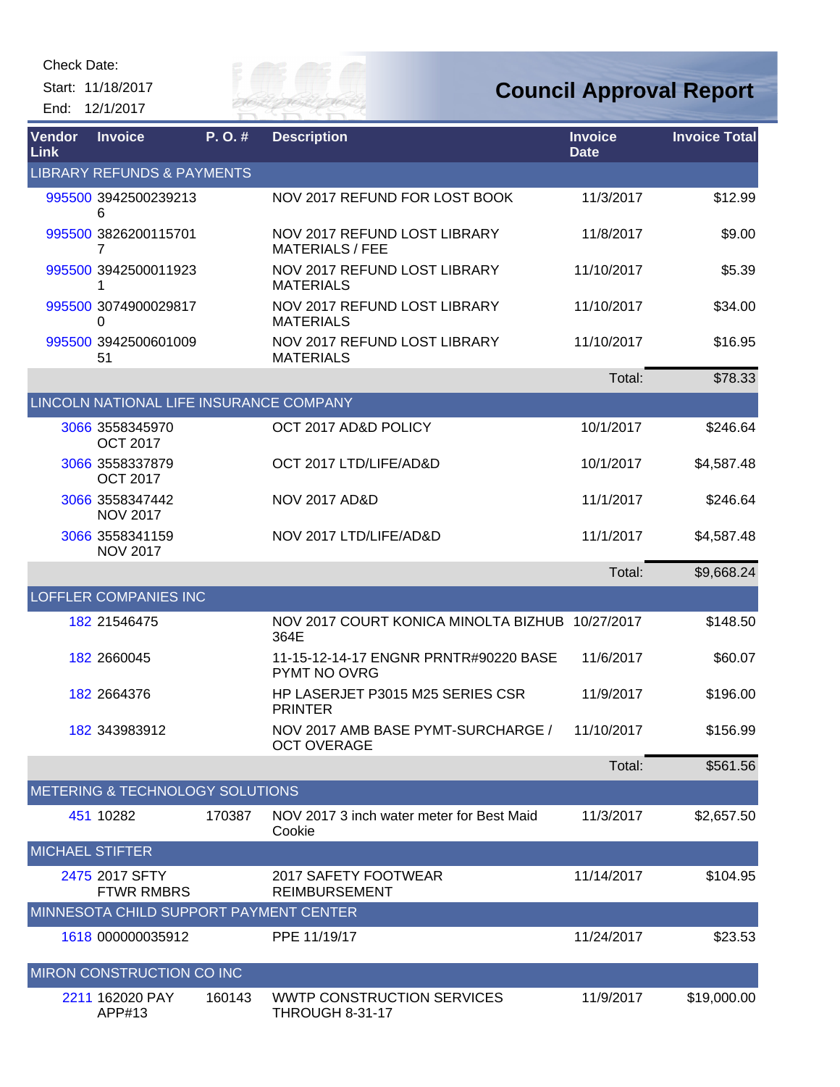Start: 11/18/2017 End: 12/1/2017



## **Council Approval Report**

| Vendor<br>Link         | <b>Invoice</b>                          | $P. O.$ # | <b>Description</b>                                       | <b>Invoice</b><br><b>Date</b> | <b>Invoice Total</b> |
|------------------------|-----------------------------------------|-----------|----------------------------------------------------------|-------------------------------|----------------------|
|                        | <b>LIBRARY REFUNDS &amp; PAYMENTS</b>   |           |                                                          |                               |                      |
|                        | 995500 3942500239213<br>6               |           | NOV 2017 REFUND FOR LOST BOOK                            | 11/3/2017                     | \$12.99              |
|                        | 995500 3826200115701<br>7               |           | NOV 2017 REFUND LOST LIBRARY<br><b>MATERIALS / FEE</b>   | 11/8/2017                     | \$9.00               |
|                        | 995500 3942500011923<br>1               |           | NOV 2017 REFUND LOST LIBRARY<br><b>MATERIALS</b>         | 11/10/2017                    | \$5.39               |
|                        | 995500 3074900029817<br>0               |           | NOV 2017 REFUND LOST LIBRARY<br><b>MATERIALS</b>         | 11/10/2017                    | \$34.00              |
|                        | 995500 3942500601009<br>51              |           | NOV 2017 REFUND LOST LIBRARY<br><b>MATERIALS</b>         | 11/10/2017                    | \$16.95              |
|                        |                                         |           |                                                          | Total:                        | \$78.33              |
|                        | LINCOLN NATIONAL LIFE INSURANCE COMPANY |           |                                                          |                               |                      |
|                        | 3066 3558345970<br><b>OCT 2017</b>      |           | OCT 2017 AD&D POLICY                                     | 10/1/2017                     | \$246.64             |
|                        | 3066 3558337879<br><b>OCT 2017</b>      |           | OCT 2017 LTD/LIFE/AD&D                                   | 10/1/2017                     | \$4,587.48           |
|                        | 3066 3558347442<br><b>NOV 2017</b>      |           | <b>NOV 2017 AD&amp;D</b>                                 | 11/1/2017                     | \$246.64             |
|                        | 3066 3558341159<br><b>NOV 2017</b>      |           | NOV 2017 LTD/LIFE/AD&D                                   | 11/1/2017                     | \$4,587.48           |
|                        |                                         |           |                                                          | Total:                        | \$9,668.24           |
|                        | <b>LOFFLER COMPANIES INC</b>            |           |                                                          |                               |                      |
|                        | 182 21546475                            |           | NOV 2017 COURT KONICA MINOLTA BIZHUB 10/27/2017<br>364E  |                               | \$148.50             |
|                        | 182 2660045                             |           | 11-15-12-14-17 ENGNR PRNTR#90220 BASE<br>PYMT NO OVRG    | 11/6/2017                     | \$60.07              |
|                        | 182 2664376                             |           | HP LASERJET P3015 M25 SERIES CSR<br><b>PRINTER</b>       | 11/9/2017                     | \$196.00             |
|                        | 182 343983912                           |           | NOV 2017 AMB BASE PYMT-SURCHARGE /<br><b>OCT OVERAGE</b> | 11/10/2017                    | \$156.99             |
|                        |                                         |           |                                                          | Total:                        | \$561.56             |
|                        | METERING & TECHNOLOGY SOLUTIONS         |           |                                                          |                               |                      |
|                        | 451 10282                               | 170387    | NOV 2017 3 inch water meter for Best Maid<br>Cookie      | 11/3/2017                     | \$2,657.50           |
| <b>MICHAEL STIFTER</b> |                                         |           |                                                          |                               |                      |
|                        | 2475 2017 SFTY<br><b>FTWR RMBRS</b>     |           | 2017 SAFETY FOOTWEAR<br><b>REIMBURSEMENT</b>             | 11/14/2017                    | \$104.95             |
|                        | MINNESOTA CHILD SUPPORT PAYMENT CENTER  |           |                                                          |                               |                      |
|                        | 1618 000000035912                       |           | PPE 11/19/17                                             | 11/24/2017                    | \$23.53              |
|                        | MIRON CONSTRUCTION CO INC               |           |                                                          |                               |                      |
|                        | 2211 162020 PAY<br>APP#13               | 160143    | WWTP CONSTRUCTION SERVICES<br><b>THROUGH 8-31-17</b>     | 11/9/2017                     | \$19,000.00          |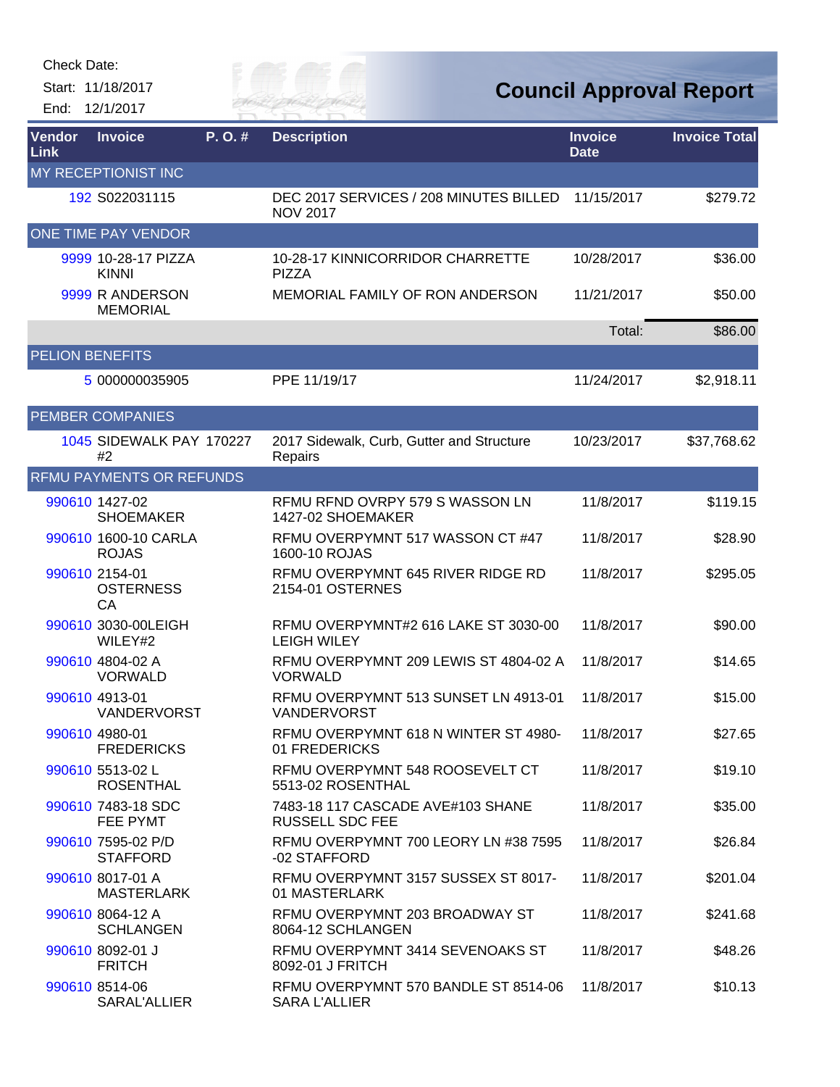Start: 11/18/2017

End: 12/1/2017



**Council Approval Report**

| Vendor<br><b>Link</b>  | <b>Invoice</b>                           | P.O.# | <b>Description</b>                                           | <b>Invoice</b><br><b>Date</b> | <b>Invoice Total</b> |
|------------------------|------------------------------------------|-------|--------------------------------------------------------------|-------------------------------|----------------------|
|                        | MY RECEPTIONIST INC                      |       |                                                              |                               |                      |
|                        | 192 S022031115                           |       | DEC 2017 SERVICES / 208 MINUTES BILLED<br><b>NOV 2017</b>    | 11/15/2017                    | \$279.72             |
|                        | ONE TIME PAY VENDOR                      |       |                                                              |                               |                      |
|                        | 9999 10-28-17 PIZZA<br><b>KINNI</b>      |       | 10-28-17 KINNICORRIDOR CHARRETTE<br><b>PIZZA</b>             | 10/28/2017                    | \$36.00              |
|                        | 9999 R ANDERSON<br><b>MEMORIAL</b>       |       | MEMORIAL FAMILY OF RON ANDERSON                              | 11/21/2017                    | \$50.00              |
|                        |                                          |       |                                                              | Total:                        | \$86.00              |
| <b>PELION BENEFITS</b> |                                          |       |                                                              |                               |                      |
|                        | 5 000000035905                           |       | PPE 11/19/17                                                 | 11/24/2017                    | \$2,918.11           |
|                        | <b>PEMBER COMPANIES</b>                  |       |                                                              |                               |                      |
|                        | 1045 SIDEWALK PAY 170227<br>#2           |       | 2017 Sidewalk, Curb, Gutter and Structure<br>Repairs         | 10/23/2017                    | \$37,768.62          |
|                        | <b>RFMU PAYMENTS OR REFUNDS</b>          |       |                                                              |                               |                      |
|                        | 990610 1427-02<br><b>SHOEMAKER</b>       |       | RFMU RFND OVRPY 579 S WASSON LN<br>1427-02 SHOEMAKER         | 11/8/2017                     | \$119.15             |
|                        | 990610 1600-10 CARLA<br><b>ROJAS</b>     |       | RFMU OVERPYMNT 517 WASSON CT #47<br>1600-10 ROJAS            | 11/8/2017                     | \$28.90              |
|                        | 990610 2154-01<br><b>OSTERNESS</b><br>CA |       | RFMU OVERPYMNT 645 RIVER RIDGE RD<br>2154-01 OSTERNES        | 11/8/2017                     | \$295.05             |
|                        | 990610 3030-00LEIGH<br>WILEY#2           |       | RFMU OVERPYMNT#2 616 LAKE ST 3030-00<br><b>LEIGH WILEY</b>   | 11/8/2017                     | \$90.00              |
|                        | 990610 4804-02 A<br><b>VORWALD</b>       |       | RFMU OVERPYMNT 209 LEWIS ST 4804-02 A<br><b>VORWALD</b>      | 11/8/2017                     | \$14.65              |
|                        | 990610 4913-01<br><b>VANDERVORST</b>     |       | RFMU OVERPYMNT 513 SUNSET LN 4913-01<br><b>VANDERVORST</b>   | 11/8/2017                     | \$15.00              |
|                        | 990610 4980-01<br><b>FREDERICKS</b>      |       | RFMU OVERPYMNT 618 N WINTER ST 4980-<br>01 FREDERICKS        | 11/8/2017                     | \$27.65              |
|                        | 990610 5513-02 L<br><b>ROSENTHAL</b>     |       | RFMU OVERPYMNT 548 ROOSEVELT CT<br>5513-02 ROSENTHAL         | 11/8/2017                     | \$19.10              |
|                        | 990610 7483-18 SDC<br>FEE PYMT           |       | 7483-18 117 CASCADE AVE#103 SHANE<br><b>RUSSELL SDC FEE</b>  | 11/8/2017                     | \$35.00              |
|                        | 990610 7595-02 P/D<br><b>STAFFORD</b>    |       | RFMU OVERPYMNT 700 LEORY LN #38 7595<br>-02 STAFFORD         | 11/8/2017                     | \$26.84              |
|                        | 990610 8017-01 A<br><b>MASTERLARK</b>    |       | RFMU OVERPYMNT 3157 SUSSEX ST 8017-<br>01 MASTERLARK         | 11/8/2017                     | \$201.04             |
|                        | 990610 8064-12 A<br><b>SCHLANGEN</b>     |       | RFMU OVERPYMNT 203 BROADWAY ST<br>8064-12 SCHLANGEN          | 11/8/2017                     | \$241.68             |
|                        | 990610 8092-01 J<br><b>FRITCH</b>        |       | RFMU OVERPYMNT 3414 SEVENOAKS ST<br>8092-01 J FRITCH         | 11/8/2017                     | \$48.26              |
|                        | 990610 8514-06<br>SARAL'ALLIER           |       | RFMU OVERPYMNT 570 BANDLE ST 8514-06<br><b>SARA L'ALLIER</b> | 11/8/2017                     | \$10.13              |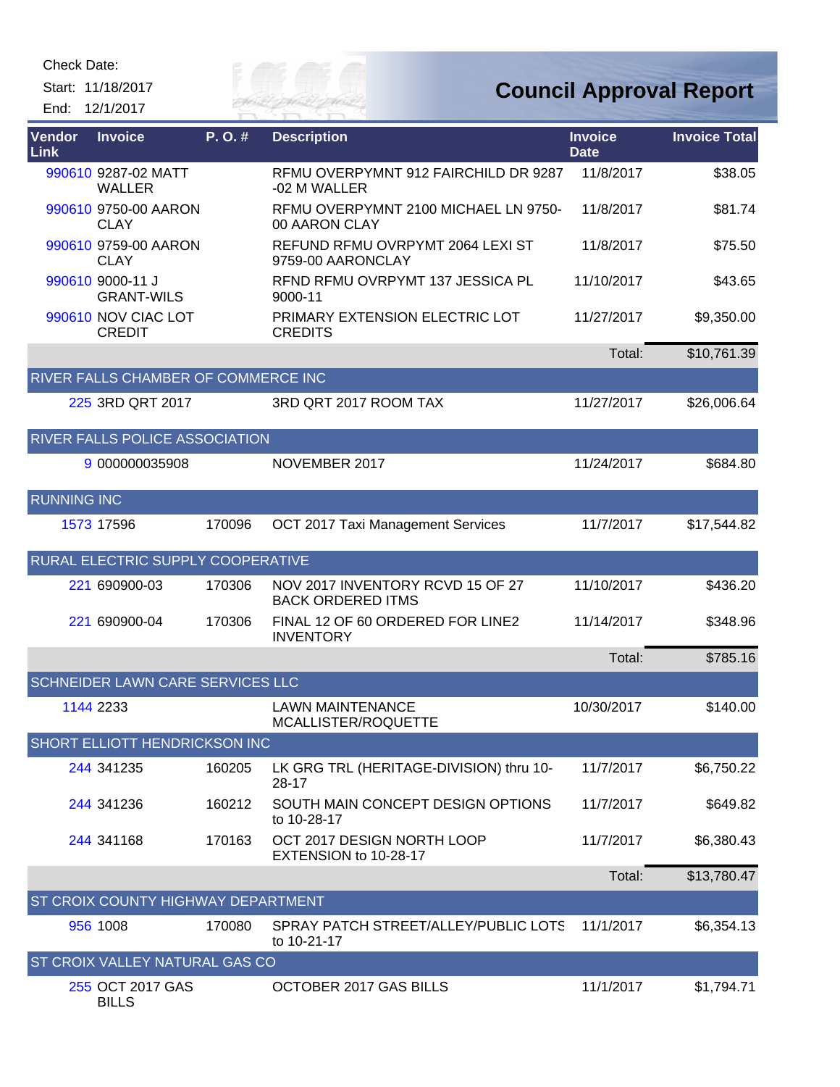Start: 11/18/2017 End: 12/1/2017



| Vendor<br>Link     | <b>Invoice</b>                        | P.O.#  | <b>Description</b>                                           | <b>Invoice</b><br><b>Date</b> | <b>Invoice Total</b> |
|--------------------|---------------------------------------|--------|--------------------------------------------------------------|-------------------------------|----------------------|
|                    | 990610 9287-02 MATT<br><b>WALLER</b>  |        | RFMU OVERPYMNT 912 FAIRCHILD DR 9287<br>-02 M WALLER         | 11/8/2017                     | \$38.05              |
|                    | 990610 9750-00 AARON<br><b>CLAY</b>   |        | RFMU OVERPYMNT 2100 MICHAEL LN 9750-<br>00 AARON CLAY        | 11/8/2017                     | \$81.74              |
|                    | 990610 9759-00 AARON<br><b>CLAY</b>   |        | REFUND RFMU OVRPYMT 2064 LEXI ST<br>9759-00 AARONCLAY        | 11/8/2017                     | \$75.50              |
|                    | 990610 9000-11 J<br><b>GRANT-WILS</b> |        | RFND RFMU OVRPYMT 137 JESSICA PL<br>9000-11                  | 11/10/2017                    | \$43.65              |
|                    | 990610 NOV CIAC LOT<br><b>CREDIT</b>  |        | PRIMARY EXTENSION ELECTRIC LOT<br><b>CREDITS</b>             | 11/27/2017                    | \$9,350.00           |
|                    |                                       |        |                                                              | Total:                        | \$10,761.39          |
|                    | RIVER FALLS CHAMBER OF COMMERCE INC   |        |                                                              |                               |                      |
|                    | 225 3RD QRT 2017                      |        | 3RD QRT 2017 ROOM TAX                                        | 11/27/2017                    | \$26,006.64          |
|                    | RIVER FALLS POLICE ASSOCIATION        |        |                                                              |                               |                      |
|                    | 9 000000035908                        |        | NOVEMBER 2017                                                | 11/24/2017                    | \$684.80             |
| <b>RUNNING INC</b> |                                       |        |                                                              |                               |                      |
|                    | 1573 17596                            | 170096 | OCT 2017 Taxi Management Services                            | 11/7/2017                     | \$17,544.82          |
|                    | RURAL ELECTRIC SUPPLY COOPERATIVE     |        |                                                              |                               |                      |
|                    | 221 690900-03                         | 170306 | NOV 2017 INVENTORY RCVD 15 OF 27<br><b>BACK ORDERED ITMS</b> | 11/10/2017                    | \$436.20             |
|                    | 221 690900-04                         | 170306 | FINAL 12 OF 60 ORDERED FOR LINE2<br><b>INVENTORY</b>         | 11/14/2017                    | \$348.96             |
|                    |                                       |        |                                                              | Total:                        | \$785.16             |
|                    | SCHNEIDER LAWN CARE SERVICES LLC      |        |                                                              |                               |                      |
|                    | 1144 2233                             |        | <b>LAWN MAINTENANCE</b><br>MCALLISTER/ROQUETTE               | 10/30/2017                    | \$140.00             |
|                    | SHORT ELLIOTT HENDRICKSON INC         |        |                                                              |                               |                      |
|                    | 244 341 235                           | 160205 | LK GRG TRL (HERITAGE-DIVISION) thru 10-<br>28-17             | 11/7/2017                     | \$6,750.22           |
|                    | 244 341 236                           | 160212 | SOUTH MAIN CONCEPT DESIGN OPTIONS<br>to 10-28-17             | 11/7/2017                     | \$649.82             |
|                    | 244 341168                            | 170163 | OCT 2017 DESIGN NORTH LOOP<br>EXTENSION to 10-28-17          | 11/7/2017                     | \$6,380.43           |
|                    |                                       |        |                                                              | Total:                        | \$13,780.47          |
|                    | ST CROIX COUNTY HIGHWAY DEPARTMENT    |        |                                                              |                               |                      |
|                    | 956 1008                              | 170080 | SPRAY PATCH STREET/ALLEY/PUBLIC LOTS<br>to 10-21-17          | 11/1/2017                     | \$6,354.13           |
|                    | ST CROIX VALLEY NATURAL GAS CO        |        |                                                              |                               |                      |
|                    | 255 OCT 2017 GAS<br><b>BILLS</b>      |        | OCTOBER 2017 GAS BILLS                                       | 11/1/2017                     | \$1,794.71           |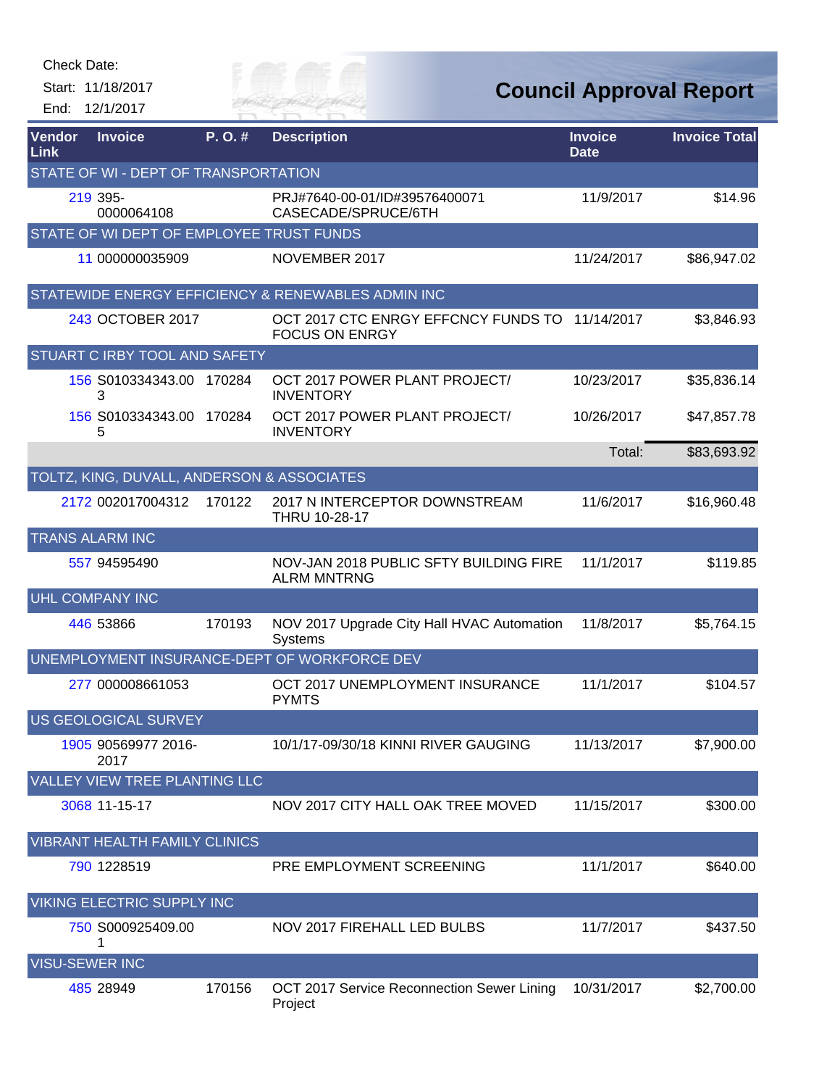| Check Date:           |                                            |           |                                                              |                               |                                |
|-----------------------|--------------------------------------------|-----------|--------------------------------------------------------------|-------------------------------|--------------------------------|
| End:                  | Start: 11/18/2017<br>12/1/2017             |           | <sup>e</sup> Est<br>FR MAI                                   |                               | <b>Council Approval Report</b> |
| Vendor<br><b>Link</b> | <b>Invoice</b>                             | $P. O.$ # | <b>Description</b>                                           | <b>Invoice</b><br><b>Date</b> | <b>Invoice Total</b>           |
|                       | STATE OF WI - DEPT OF TRANSPORTATION       |           |                                                              |                               |                                |
|                       | 219 395-<br>0000064108                     |           | PRJ#7640-00-01/ID#39576400071<br>CASECADE/SPRUCE/6TH         | 11/9/2017                     | \$14.96                        |
|                       | STATE OF WI DEPT OF EMPLOYEE TRUST FUNDS   |           |                                                              |                               |                                |
|                       | 11 000000035909                            |           | NOVEMBER 2017                                                | 11/24/2017                    | \$86,947.02                    |
|                       |                                            |           | STATEWIDE ENERGY EFFICIENCY & RENEWABLES ADMIN INC           |                               |                                |
|                       | 243 OCTOBER 2017                           |           | OCT 2017 CTC ENRGY EFFCNCY FUNDS TO<br><b>FOCUS ON ENRGY</b> | 11/14/2017                    | \$3,846.93                     |
|                       | STUART C IRBY TOOL AND SAFETY              |           |                                                              |                               |                                |
|                       | 156 S010334343.00 170284<br>3              |           | OCT 2017 POWER PLANT PROJECT/<br><b>INVENTORY</b>            | 10/23/2017                    | \$35,836.14                    |
|                       | 156 S010334343.00 170284<br>5              |           | OCT 2017 POWER PLANT PROJECT/<br><b>INVENTORY</b>            | 10/26/2017                    | \$47,857.78                    |
|                       |                                            |           |                                                              | Total:                        | \$83,693.92                    |
|                       | TOLTZ, KING, DUVALL, ANDERSON & ASSOCIATES |           |                                                              |                               |                                |
|                       | 2172 002017004312                          | 170122    | 2017 N INTERCEPTOR DOWNSTREAM<br>THRU 10-28-17               | 11/6/2017                     | \$16,960.48                    |
|                       | <b>TRANS ALARM INC</b>                     |           |                                                              |                               |                                |
|                       | 557 94595490                               |           | NOV-JAN 2018 PUBLIC SFTY BUILDING FIRE<br><b>ALRM MNTRNG</b> | 11/1/2017                     | \$119.85                       |
|                       | <b>UHL COMPANY INC</b>                     |           |                                                              |                               |                                |
|                       | 446 53866                                  | 170193    | NOV 2017 Upgrade City Hall HVAC Automation<br>Systems        | 11/8/2017                     | \$5,764.15                     |
|                       |                                            |           | UNEMPLOYMENT INSURANCE-DEPT OF WORKFORCE DEV                 |                               |                                |
|                       | 277 000008661053                           |           | OCT 2017 UNEMPLOYMENT INSURANCE<br><b>PYMTS</b>              | 11/1/2017                     | \$104.57                       |
|                       | US GEOLOGICAL SURVEY                       |           |                                                              |                               |                                |
|                       | 1905 90569977 2016-<br>2017                |           | 10/1/17-09/30/18 KINNI RIVER GAUGING                         | 11/13/2017                    | \$7,900.00                     |
|                       | <b>VALLEY VIEW TREE PLANTING LLC</b>       |           |                                                              |                               |                                |
|                       | 3068 11-15-17                              |           | NOV 2017 CITY HALL OAK TREE MOVED                            | 11/15/2017                    | \$300.00                       |
|                       | <b>VIBRANT HEALTH FAMILY CLINICS</b>       |           |                                                              |                               |                                |
|                       | 790 1228519                                |           | PRE EMPLOYMENT SCREENING                                     | 11/1/2017                     | \$640.00                       |
|                       | VIKING ELECTRIC SUPPLY INC                 |           |                                                              |                               |                                |
|                       | 750 S000925409.00<br>1                     |           | NOV 2017 FIREHALL LED BULBS                                  | 11/7/2017                     | \$437.50                       |
|                       | <b>VISU-SEWER INC</b>                      |           |                                                              |                               |                                |
|                       | 485 28949                                  | 170156    | OCT 2017 Service Reconnection Sewer Lining<br>Project        | 10/31/2017                    | \$2,700.00                     |